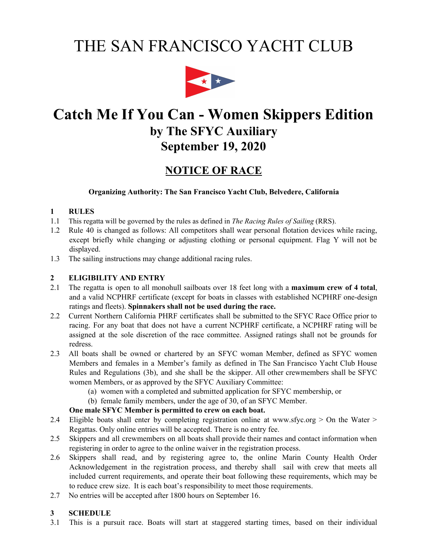# THE SAN FRANCISCO YACHT CLUB



## **Catch Me If You Can - Women Skippers Edition by The SFYC Auxiliary September 19, 2020**

### **NOTICE OF RACE**

#### **Organizing Authority: The San Francisco Yacht Club, Belvedere, California**

#### **1 RULES**

- 1.1 This regatta will be governed by the rules as defined in *The Racing Rules of Sailing* (RRS).
- 1.2 Rule 40 is changed as follows: All competitors shall wear personal flotation devices while racing, except briefly while changing or adjusting clothing or personal equipment. Flag Y will not be displayed.
- 1.3 The sailing instructions may change additional racing rules.

#### **2 ELIGIBILITY AND ENTRY**

- 2.1 The regatta is open to all monohull sailboats over 18 feet long with a **maximum crew of 4 total**, and a valid NCPHRF certificate (except for boats in classes with established NCPHRF one-design ratings and fleets). **Spinnakers shall not be used during the race.**
- 2.2 Current Northern California PHRF certificates shall be submitted to the SFYC Race Office prior to racing. For any boat that does not have a current NCPHRF certificate, a NCPHRF rating will be assigned at the sole discretion of the race committee. Assigned ratings shall not be grounds for redress.
- 2.3 All boats shall be owned or chartered by an SFYC woman Member, defined as SFYC women Members and females in a Member's family as defined in The San Francisco Yacht Club House Rules and Regulations (3b), and she shall be the skipper. All other crewmembers shall be SFYC women Members, or as approved by the SFYC Auxiliary Committee:
	- (a) women with a completed and submitted application for SFYC membership, or
	- (b) female family members, under the age of 30, of an SFYC Member.

#### **One male SFYC Member is permitted to crew on each boat.**

- 2.4 Eligible boats shall enter by completing registration online at www.sfyc.org > On the Water > Regattas. Only online entries will be accepted. There is no entry fee.
- 2.5 Skippers and all crewmembers on all boats shall provide their names and contact information when registering in order to agree to the online waiver in the registration process.
- 2.6 Skippers shall read, and by registering agree to, the online Marin County Health Order Acknowledgement in the registration process, and thereby shall sail with crew that meets all included current requirements, and operate their boat following these requirements, which may be to reduce crew size. It is each boat's responsibility to meet those requirements.
- 2.7 No entries will be accepted after 1800 hours on September 16.

#### **3 SCHEDULE**

3.1 This is a pursuit race. Boats will start at staggered starting times, based on their individual